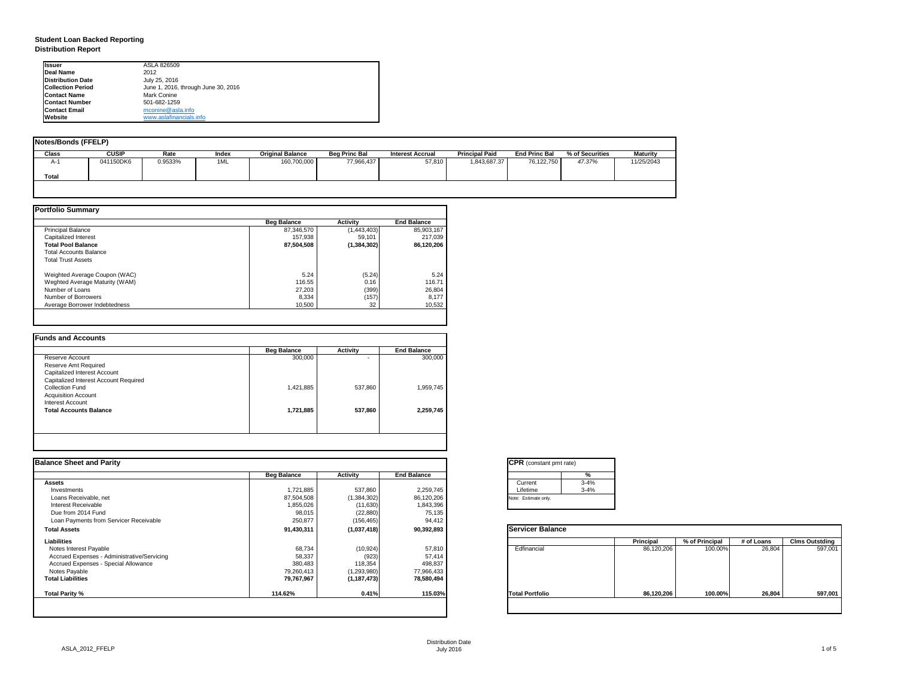| tant pmt rate) |          |
|----------------|----------|
|                | %        |
|                | $3 - 4%$ |
|                | $3 - 4%$ |
| only.          |          |

|      | <b>Principal</b> | % of Principal | # of Loans | <b>Clms Outstding</b> |  |  |
|------|------------------|----------------|------------|-----------------------|--|--|
| al   | 86,120,206       | 100.00%        | 26,804     | 597,001               |  |  |
| olio | 86,120,206       | 100.00%        | 26,804     | 597,001               |  |  |

## **Student Loan Backed Reporting Distribution Report**

| <b>Notes/Bonds (FFELP)</b> |              |         |       |                         |                      |                         |                       |                      |                 |            |
|----------------------------|--------------|---------|-------|-------------------------|----------------------|-------------------------|-----------------------|----------------------|-----------------|------------|
| <b>Class</b>               | <b>CUSIP</b> | Rate    | Index | <b>Original Balance</b> | <b>Beg Princ Bal</b> | <b>Interest Accrual</b> | <b>Principal Paid</b> | <b>End Princ Bal</b> | % of Securities | Maturity   |
| A-1                        | 041150DK6    | 0.9533% | 1ML   | 160,700,000             | 77,966,437           | 57,810                  | 1,843,687.37          | 76,122,750           | 47.37%          | 11/25/2043 |
| <b>Total</b>               |              |         |       |                         |                      |                         |                       |                      |                 |            |
|                            |              |         |       |                         |                      |                         |                       |                      |                 |            |

|                                | <b>Beg Balance</b> | <b>Activity</b> | <b>End Balance</b> |
|--------------------------------|--------------------|-----------------|--------------------|
| <b>Principal Balance</b>       | 87,346,570         | (1,443,403)     | 85,903,167         |
| Capitalized Interest           | 157,938            | 59,101          | 217,039            |
| <b>Total Pool Balance</b>      | 87,504,508         | (1, 384, 302)   | 86,120,206         |
| <b>Total Accounts Balance</b>  |                    |                 |                    |
| <b>Total Trust Assets</b>      |                    |                 |                    |
| Weighted Average Coupon (WAC)  | 5.24               | (5.24)          | 5.24               |
| Weghted Average Maturity (WAM) | 116.55             | 0.16            | 116.71             |
| Number of Loans                | 27,203             | (399)           | 26,804             |
| Number of Borrowers            | 8,334              | (157)           | 8,177              |
| Average Borrower Indebtedness  | 10,500             | 32              | 10,532             |

|                                       | <b>Beg Balance</b> | <b>Activity</b> | <b>End Balance</b> |
|---------------------------------------|--------------------|-----------------|--------------------|
| Reserve Account                       | 300,000            | ٠               | 300,000            |
| <b>Reserve Amt Required</b>           |                    |                 |                    |
| <b>Capitalized Interest Account</b>   |                    |                 |                    |
| Capitalized Interest Account Required |                    |                 |                    |
| <b>Collection Fund</b>                | 1,421,885          | 537,860         | 1,959,745          |
| <b>Acquisition Account</b>            |                    |                 |                    |
| <b>Interest Account</b>               |                    |                 |                    |
| <b>Total Accounts Balance</b>         | 1,721,885          | 537,860         | 2,259,745          |
|                                       |                    |                 |                    |

| Ilssuer                  | ASLA 826509                         |
|--------------------------|-------------------------------------|
| <b>IDeal Name</b>        | 2012                                |
| <b>Distribution Date</b> | July 25, 2016                       |
| <b>Collection Period</b> | June 1, 2016, through June 30, 2016 |
| <b>Contact Name</b>      | <b>Mark Conine</b>                  |
| <b>IContact Number</b>   | 501-682-1259                        |
| <b>Contact Email</b>     | mconine@asla.info                   |
| <b>IWebsite</b>          | www.aslafinancials.info             |

|                    |                 |                    | <b>CPR</b> (constant pmt rate) |                  |                      |            |                       |
|--------------------|-----------------|--------------------|--------------------------------|------------------|----------------------|------------|-----------------------|
| <b>Beg Balance</b> | <b>Activity</b> | <b>End Balance</b> | %                              |                  |                      |            |                       |
|                    |                 |                    | Current                        |                  |                      |            |                       |
| 1,721,885          | 537,860         | 2,259,745          | Lifetime                       |                  |                      |            |                       |
| 87,504,508         | (1,384,302)     | 86,120,206         | Note: Estimate only.           |                  |                      |            |                       |
| 1,855,026          | (11, 630)       | 1,843,396          |                                |                  |                      |            |                       |
|                    |                 |                    |                                |                  |                      |            |                       |
| 250,877            | (156, 465)      | 94,412             |                                |                  |                      |            |                       |
| 91,430,311         | (1,037,418)     | 90,392,893         | <b>Servicer Balance</b>        |                  |                      |            |                       |
|                    |                 |                    |                                | <b>Principal</b> | % of Principal       | # of Loans | <b>Clms Outstding</b> |
| 68,734             | (10, 924)       | 57,810             | Edfinancial                    | 86,120,206       | 100.00%              | 26,804     | 597,001               |
| 58,337             | (923)           | 57,414             |                                |                  |                      |            |                       |
| 380,483            | 118,354         | 498,837            |                                |                  |                      |            |                       |
| 79,260,413         | (1,293,980)     | 77,966,433         |                                |                  |                      |            |                       |
| 79,767,967         | (1, 187, 473)   | 78,580,494         |                                |                  |                      |            |                       |
| 114.62%            | 0.41%           | 115.03%            | <b>Total Portfolio</b>         | 86,120,206       | 100.00%              | 26,804     | 597,001               |
|                    | 98,015          | (22, 880)          | 75,135                         |                  | $3 - 4%$<br>$3 - 4%$ |            |                       |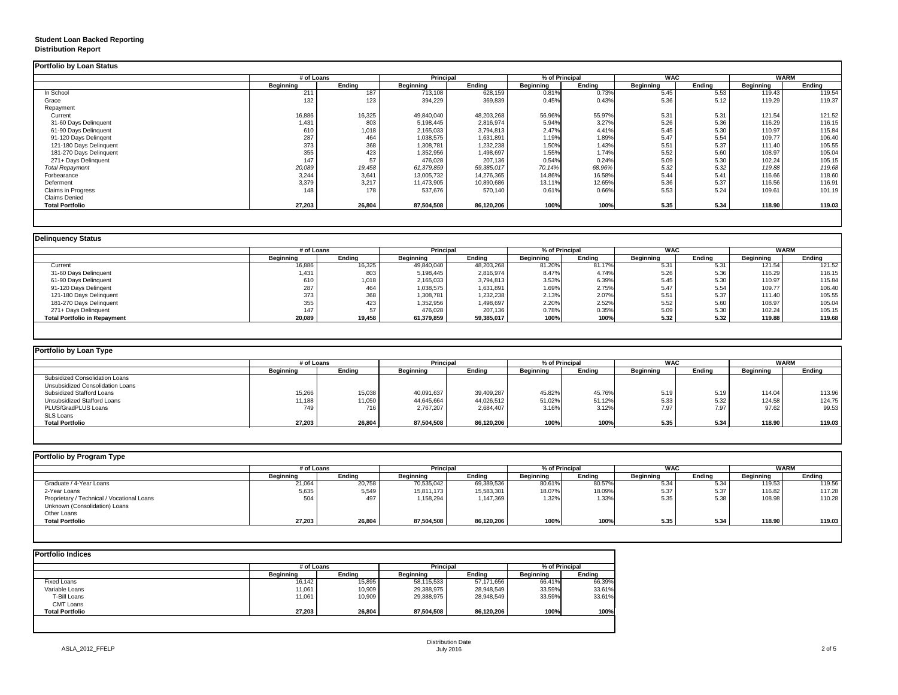## **Student Loan Backed Reporting Distribution Report**

### **Delinquency Status**

|                           | # of Loans       |               | <b>Principal</b> |               | % of Principal   |               | <b>WAC</b>       |               | <b>WARM</b>      |               |
|---------------------------|------------------|---------------|------------------|---------------|------------------|---------------|------------------|---------------|------------------|---------------|
|                           | <b>Beginning</b> | <b>Ending</b> | <b>Beginning</b> | <b>Ending</b> | <b>Beginning</b> | <b>Ending</b> | <b>Beginning</b> | <b>Ending</b> | <b>Beginning</b> | <b>Ending</b> |
| In School                 | 211              | 187           | 713,108          | 628,159       | 0.81%            | 0.73%         | 5.45             | 5.53          | 119.43           | 119.54        |
| Grace                     | 132              | 123           | 394,229          | 369,839       | 0.45%            | 0.43%         | 5.36             | 5.12          | 119.29           | 119.37        |
| Repayment                 |                  |               |                  |               |                  |               |                  |               |                  |               |
| Current                   | 16,886           | 16,325        | 49,840,040       | 48,203,268    | 56.96%           | 55.97%        | 5.31             | 5.31          | 121.54           | 121.52        |
| 31-60 Days Delinquent     | 1,431            | 803           | 5,198,445        | 2,816,974     | 5.94%            | 3.27%         | 5.26             | 5.36          | 116.29           | 116.15        |
| 61-90 Days Delinquent     | 610              | 1,018         | 2,165,033        | 3,794,813     | 2.47%            | 4.41%         | 5.45             | 5.30          | 110.97           | 115.84        |
| 91-120 Days Delingent     | 287              | 464           | 1,038,575        | 1,631,891     | 1.19%            | 1.89%         | 5.47             | 5.54          | 109.77           | 106.40        |
| 121-180 Days Delinquent   | 373              | 368           | 1,308,781        | 1,232,238     | 1.50%            | 1.43%         | 5.51             | 5.37          | 111.40           | 105.55        |
| 181-270 Days Delinquent   | 355              | 423           | 1,352,956        | 1,498,697     | 1.55%            | 1.74%         | 5.52             | 5.60          | 108.97           | 105.04        |
| 271+ Days Delinquent      | 147              | 57            | 476,028          | 207,136       | 0.54%            | 0.24%         | 5.09             | 5.30          | 102.24           | 105.15        |
| <b>Total Repayment</b>    | 20,089           | 19,458        | 61,379,859       | 59,385,017    | 70.14%           | 68.96%        | 5.32             | 5.32          | 119.88           | 119.68        |
| Forbearance               | 3,244            | 3,641         | 13,005,732       | 14,276,365    | 14.86%           | 16.58%        | 5.44             | 5.41          | 116.66           | 118.60        |
| Deferment                 | 3,379            | 3,217         | 11,473,905       | 10,890,686    | 13.11%           | 12.65%        | 5.36             | 5.37          | 116.56           | 116.91        |
| <b>Claims in Progress</b> | 148              | 178           | 537,676          | 570,140       | 0.61%            | 0.66%         | 5.53             | 5.24          | 109.61           | 101.19        |
| <b>Claims Denied</b>      |                  |               |                  |               |                  |               |                  |               |                  |               |
| <b>Total Portfolio</b>    | 27,203           | 26,804        | 87,504,508       | 86,120,206    | 100%             | 100%          | 5.35             | 5.34          | 118.90           | 119.03        |

|                                     | # of Loans       |               | <b>Principal</b> |               | % of Principal   |        | <b>WAC</b>       |               | WARM             |               |
|-------------------------------------|------------------|---------------|------------------|---------------|------------------|--------|------------------|---------------|------------------|---------------|
|                                     | <b>Beginning</b> | <b>Ending</b> | <b>Beginning</b> | <b>Ending</b> | <b>Beginning</b> | Ending | <b>Beginning</b> | <b>Ending</b> | <b>Beginning</b> | <b>Ending</b> |
| Current                             | 16,886           | 16,325        | 49,840,040       | 48,203,268    | 81.20%           | 81.17% | 5.31             | 5.31          | 121.54           | 121.52        |
| 31-60 Days Delinquent               | 1,431            | 803           | 5,198,445        | 2,816,974     | 8.47%            | 4.74%  | 5.26             | 5.36          | 116.29           | 116.15        |
| 61-90 Days Delinquent               | 610              | 1,018         | 2,165,033        | 3,794,813     | 3.53%            | 6.39%  | 5.45             | 5.30          | 110.97           | 115.84        |
| 91-120 Days Delingent               | 287              | 464           | 1,038,575        | 1,631,891     | 1.69%            | 2.75%  | 5.47             | 5.54          | 109.77           | 106.40        |
| 121-180 Days Delinquent             | 373              | 368           | 1,308,781        | 1,232,238     | 2.13%            | 2.07%  | 5.51             | 5.37          | 111.40           | 105.55        |
| 181-270 Days Delinquent             | 355              | 423           | 1,352,956        | 1,498,697     | 2.20%            | 2.52%  | 5.52             | 5.60          | 108.97           | 105.04        |
| 271+ Days Delinquent                | 147              | 57            | 476,028          | 207,136       | 0.78%            | 0.35%  | 5.09             | 5.30          | 102.24           | 105.15        |
| <b>Total Portfolio in Repayment</b> | 20,089           | 19,458        | 61,379,859       | 59,385,017    | 100%             | 100%   | 5.32             | 5.32          | 119.88           | 119.68        |

| Portfolio by Loan Type                  |                  |               |                  |               |                  |               |                  |        |                  |               |
|-----------------------------------------|------------------|---------------|------------------|---------------|------------------|---------------|------------------|--------|------------------|---------------|
|                                         | # of Loans       |               | <b>Principal</b> |               | % of Principal   |               | <b>WAC</b>       |        |                  | <b>WARM</b>   |
|                                         | <b>Beginning</b> | <b>Ending</b> | <b>Beginning</b> | <b>Ending</b> | <b>Beginning</b> | <b>Ending</b> | <b>Beginning</b> | Ending | <b>Beginning</b> | <b>Ending</b> |
| <b>Subsidized Consolidation Loans</b>   |                  |               |                  |               |                  |               |                  |        |                  |               |
| <b>Unsubsidized Consolidation Loans</b> |                  |               |                  |               |                  |               |                  |        |                  |               |
| <b>Subsidized Stafford Loans</b>        | 15,266           | 15,038        | 40,091,637       | 39,409,287    | 45.82%           | 45.76%        | 5.19             | 5.19   | 114.04           | 113.96        |
| <b>Unsubsidized Stafford Loans</b>      | 11,188           | 11,050        | 44,645,664       | 44,026,512    | 51.02%           | 51.12%        | 5.33             | 5.32   | 124.58           | 124.75        |
| PLUS/GradPLUS Loans                     | 749              | 716           | 2,767,207        | 2,684,407     | 3.16%            | 3.12%         | 7.97             | 7.97   | 97.62            | 99.53         |
| <b>SLS Loans</b>                        |                  |               |                  |               |                  |               |                  |        |                  |               |
| <b>Total Portfolio</b>                  | 27,203           | 26,804        | 87,504,508       | 86,120,206    | 100%             | 1000<br>100%  | 5.35             | 5.34   | 118.90           | 119.03        |

|                                            | # of Loans       |               | <b>Principal</b> |            | % of Principal   |               | <b>WAC</b>       |               | <b>WARM</b>      |               |
|--------------------------------------------|------------------|---------------|------------------|------------|------------------|---------------|------------------|---------------|------------------|---------------|
|                                            | <b>Beginning</b> | <b>Ending</b> | <b>Beginning</b> | Ending     | <b>Beginning</b> | <b>Ending</b> | <b>Beginning</b> | <b>Ending</b> | <b>Beginning</b> | <b>Ending</b> |
| Graduate / 4-Year Loans                    | 21,064           | 20,758        | 70,535,042       | 69,389,536 | 80.61%           | 80.57%        | 5.34             | 5.34          | 119.53           | 119.56        |
| 2-Year Loans                               | 5,635            | 5,549         | 15,811,173       | 15,583,301 | 18.07%           | 18.09%        | 5.37             | 5.37          | 116.82           | 117.28        |
| Proprietary / Technical / Vocational Loans | 504              | 497           | 1,158,294        | 1,147,369  | 1.32%            | 1.33%         | 5.35             | 5.38          | 108.98           | 110.28        |
| Unknown (Consolidation) Loans              |                  |               |                  |            |                  |               |                  |               |                  |               |
| <b>Other Loans</b>                         |                  |               |                  |            |                  |               |                  |               |                  |               |
| <b>Total Portfolio</b>                     | 27,203           | 26,804        | 87,504,508       | 86,120,206 | 100%             | 100%          | 5.35             | 5.34          | 118.90           | 119.03        |

|                        |                  | # of Loans    |                  |               | % of Principal   |               |  |
|------------------------|------------------|---------------|------------------|---------------|------------------|---------------|--|
|                        | <b>Beginning</b> | <b>Ending</b> | <b>Beginning</b> | <b>Ending</b> | <b>Beginning</b> | <b>Ending</b> |  |
| <b>Fixed Loans</b>     | 16,142           | 15,895        | 58,115,533       | 57,171,656    | 66.41%           | 66.39%        |  |
| Variable Loans         | 11,061           | 10,909        | 29,388,975       | 28,948,549    | 33.59%           | 33.61%        |  |
| T-Bill Loans           | 11,061           | 10,909        | 29,388,975       | 28,948,549    | 33.59%           | 33.61%        |  |
| <b>CMT Loans</b>       |                  |               |                  |               |                  |               |  |
| <b>Total Portfolio</b> | 27,203           | 26,804        | 87,504,508       | 86,120,206    | 100%             | 100%          |  |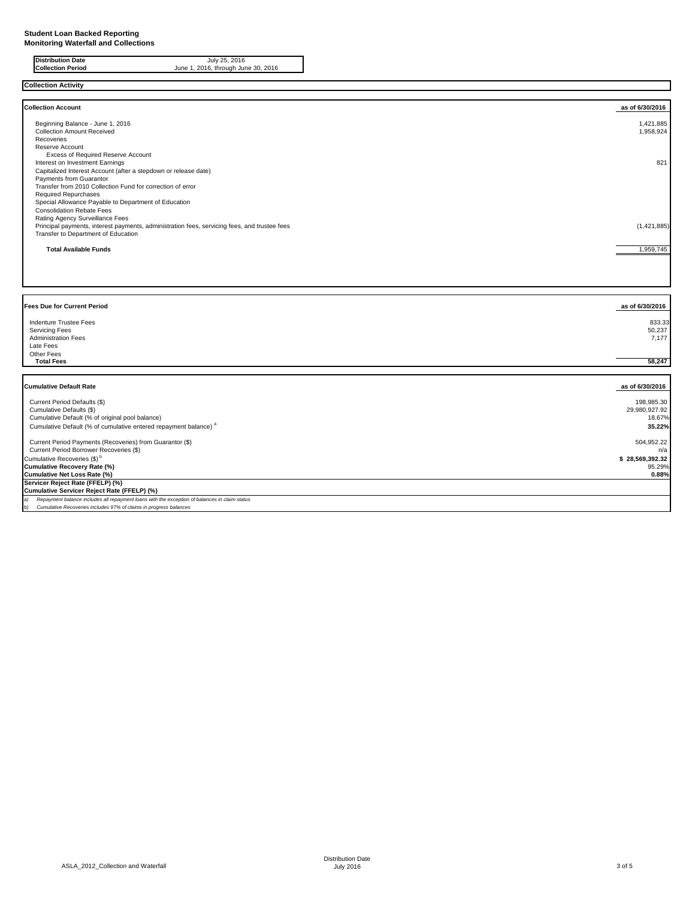**Collection Activity**

| <b>Collection Account</b>                                                                    | as of 6/30/2016 |
|----------------------------------------------------------------------------------------------|-----------------|
| Beginning Balance - June 1, 2016                                                             | 1,421,885       |
| <b>Collection Amount Received</b>                                                            | 1,958,924       |
| Recoveries                                                                                   |                 |
| <b>Reserve Account</b>                                                                       |                 |
| <b>Excess of Required Reserve Account</b>                                                    |                 |
| Interest on Investment Earnings                                                              | 821             |
| Capitalized Interest Account (after a stepdown or release date)                              |                 |
| <b>Payments from Guarantor</b>                                                               |                 |
| Transfer from 2010 Collection Fund for correction of error                                   |                 |
| <b>Required Repurchases</b>                                                                  |                 |
| Special Allowance Payable to Department of Education                                         |                 |
| <b>Consolidation Rebate Fees</b>                                                             |                 |
| <b>Rating Agency Surveillance Fees</b>                                                       |                 |
| Principal payments, interest payments, administration fees, servicing fees, and trustee fees | (1,421,885)     |
| Transfer to Department of Education                                                          |                 |
| <b>Total Available Funds</b>                                                                 | 1,959,745       |

| <b>Fees Due for Current Period</b>                                                                | as of 6/30/2016           |
|---------------------------------------------------------------------------------------------------|---------------------------|
| <b>Indenture Trustee Fees</b><br><b>Servicing Fees</b><br><b>Administration Fees</b><br>Late Fees | 833.33<br>50,237<br>7,177 |
| Other Fees<br><b>Total Fees</b>                                                                   | 58,247                    |

| <b>Cumulative Default Rate</b>                                                                | as of 6/30/2016 |
|-----------------------------------------------------------------------------------------------|-----------------|
| Current Period Defaults (\$)                                                                  | 198,985.30      |
| Cumulative Defaults (\$)                                                                      | 29,980,927.92   |
| Cumulative Default (% of original pool balance)                                               | 18.67%          |
| Cumulative Default (% of cumulative entered repayment balance) <sup>a</sup>                   | 35.22%          |
| Current Period Payments (Recoveries) from Guarantor (\$)                                      | 504,952.22      |
| Current Period Borrower Recoveries (\$)                                                       | n/a             |
| Cumulative Recoveries (\$) <sup>b</sup>                                                       | \$28,569,392.32 |
| Cumulative Recovery Rate (%)                                                                  | 95.29%          |
| Cumulative Net Loss Rate (%)                                                                  | 0.88%           |
| Servicer Reject Rate (FFELP) (%)                                                              |                 |
| Cumulative Servicer Reject Rate (FFELP) (%)                                                   |                 |
| Repayment balance includes all repayment loans with the exception of balances in claim status |                 |
| Cumulative Recoveries includes 97% of claims in progress balances                             |                 |

**Distribution Date** July 25, 2016 **Collection Period** June 1, 2016, through June 30, 2016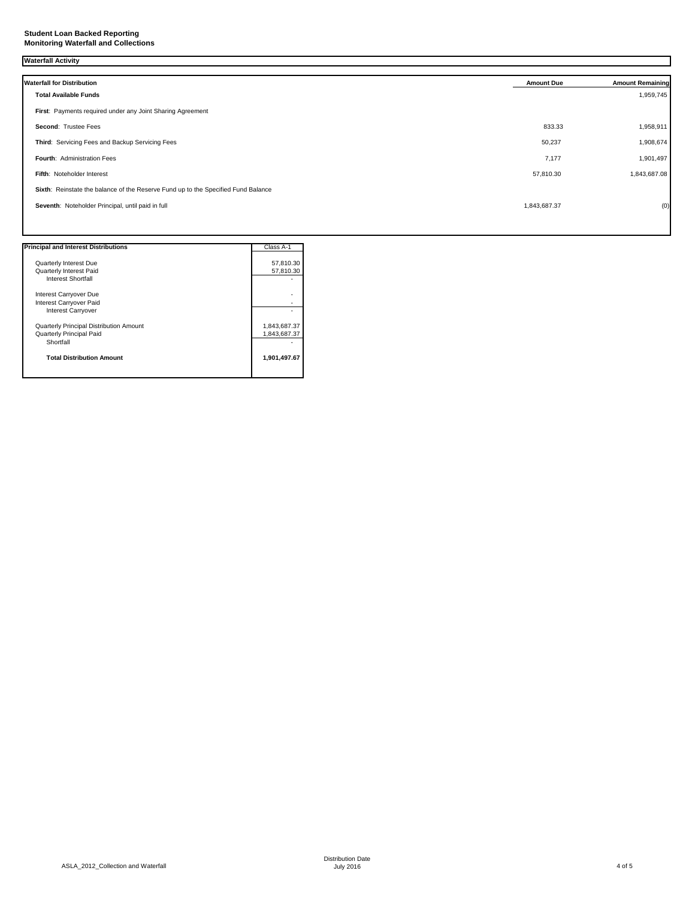## **Student Loan Backed Reporting Monitoring Waterfall and Collections**

# **Waterfall Activity**

| <b>Waterfall for Distribution</b>                                                 | <b>Amount Due</b> | <b>Amount Remaining</b> |
|-----------------------------------------------------------------------------------|-------------------|-------------------------|
| <b>Total Available Funds</b>                                                      |                   | 1,959,745               |
| First: Payments required under any Joint Sharing Agreement                        |                   |                         |
| Second: Trustee Fees                                                              | 833.33            | 1,958,911               |
| Third: Servicing Fees and Backup Servicing Fees                                   | 50,237            | 1,908,674               |
| <b>Fourth: Administration Fees</b>                                                | 7,177             | 1,901,497               |
| Fifth: Noteholder Interest                                                        | 57,810.30         | 1,843,687.08            |
| Sixth: Reinstate the balance of the Reserve Fund up to the Specified Fund Balance |                   |                         |
| Seventh: Noteholder Principal, until paid in full                                 | 1,843,687.37      | (0)                     |
|                                                                                   |                   |                         |

| <b>Principal and Interest Distributions</b>    | Class A-1    |
|------------------------------------------------|--------------|
|                                                |              |
| <b>Quarterly Interest Due</b>                  | 57,810.30    |
| <b>Quarterly Interest Paid</b>                 | 57,810.30    |
| <b>Interest Shortfall</b>                      |              |
| Interest Carryover Due                         |              |
| Interest Carryover Paid                        |              |
| Interest Carryover                             |              |
| <b>Quarterly Principal Distribution Amount</b> | 1,843,687.37 |
| <b>Quarterly Principal Paid</b>                | 1,843,687.37 |
| Shortfall                                      |              |
| <b>Total Distribution Amount</b>               | 1,901,497.67 |